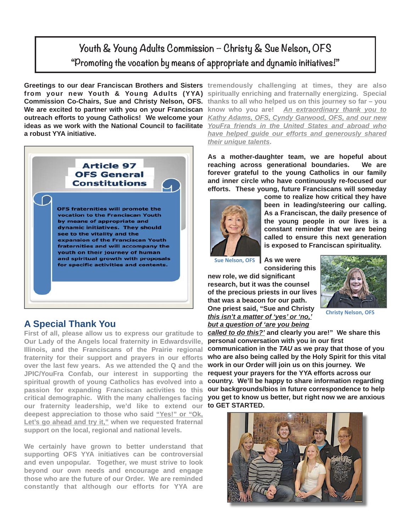## **Youth & Young Adults Commission – Christy & Sue Nelson, OFS "Promoting the vocation by means of appropriate and dynamic initiatives!"**

We are excited to partner with you on your Franciscan know who you are! **a robust YYA initiative.** 



### **A Special Thank You**

**First of all, please allow us to express our gratitude to Our Lady of the Angels local fraternity in Edwardsville, Illinois, and the Franciscans of the Prairie regional fraternity for their support and prayers in our efforts over the last few years. As we attended the Q and the JPIC/YouFra Confab, our interest in supporting the spiritual growth of young Catholics has evolved into a passion for expanding Franciscan activities to this critical demographic. With the many challenges facing our fraternity leadership, we'd like to extend our deepest appreciation to those who said "Yes!" or "Ok, Let's go ahead and try it," when we requested fraternal support on the local, regional and national levels.** 

**We certainly have grown to better understand that supporting OFS YYA initiatives can be controversial and even unpopular. Together, we must strive to look beyond our own needs and encourage and engage those who are the future of our Order. We are reminded constantly that although our efforts for YYA are** 

**Greetings to our dear Franciscan Brothers and Sisters** tremendously challenging at times, they are also **from your new Youth & Young Adults (YYA) spiritually enriching and fraternally energizing. Special Commission Co-Chairs, Sue and Christy Nelson, OFS. thanks to all who helped us on this journey so far – you outreach efforts to young Catholics! We welcome your**  *Kathy Adams, OFS, Cyndy Garwood, OFS, and our new*  **ideas as we work with the National Council to facilitate**  *YouFra friends in the United States and abroad who*  **know who you are!** *An extraordinary thank you to have helped guide our efforts and generously shared their unique talents***.** 

> **As a mother-daughter team, we are hopeful about reaching across generational boundaries. We are forever grateful to the young Catholics in our family and inner circle who have continuously re-focused our efforts. These young, future Franciscans will someday**



**come to realize how critical they have been in leading/steering our calling. As a Franciscan, the daily presence of the young people in our lives is a constant reminder that we are being called to ensure this next generation is exposed to Franciscan spirituality.** 

**Sue Nelson, OFS** 

**As we were considering this** 

**new role, we did significant research, but it was the counsel of the precious priests in our lives that was a beacon for our path. One priest said, "Sue and Christy**  *this isn't a matter of 'yes' or 'no,' but a question of 'are you being* 



**Christy Nelson, OFS**

*called to do this?'* **and clearly you are!" We share this personal conversation with you in our first communication in the** *TAU* **as we pray that those of you who are also being called by the Holy Spirit for this vital work in our Order will join us on this journey. We request your prayers for the YYA efforts across our country. We'll be happy to share information regarding our backgrounds/bios in future correspondence to help you get to know us better, but right now we are anxious to GET STARTED.**

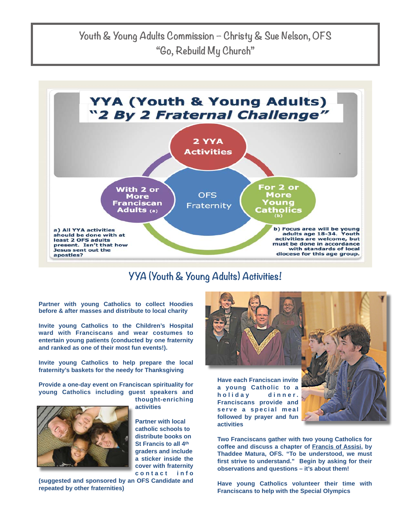

## **YYA (Youth & Young Adults) Activities!**

**Partner with young Catholics to collect Hoodies before & after masses and distribute to local charity** 

**Invite young Catholics to the Children's Hospital ward with Franciscans and wear costumes to entertain young patients (conducted by one fraternity and ranked as one of their most fun events!).**

**Invite young Catholics to help prepare the local fraternity's baskets for the needy for Thanksgiving** 

**Provide a one-day event on Franciscan spirituality for young Catholics including guest speakers and** 



**thought-enriching activities**

**Partner with local catholic schools to distribute books on St Francis to all 4th graders and include a sticker inside the cover with fraternity c o n t a c t i n f o** 

**(suggested and sponsored by an OFS Candidate and repeated by other fraternities)**



**a young Catholic to a h o l i d a y d i n n e r . Franciscans provide and**  serve a special meal **followed by prayer and fun activities**

**Two Franciscans gather with two young Catholics for coffee and discuss a chapter of Francis of Assisi, by Thaddee Matura, OFS. "To be understood, we must first strive to understand." Begin by asking for their observations and questions – it's about them!**

**Have young Catholics volunteer their time with Franciscans to help with the Special Olympics**